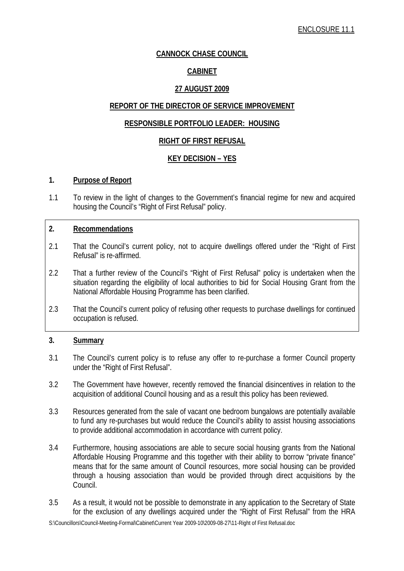# **CANNOCK CHASE COUNCIL**

# **CABINET**

# **27 AUGUST 2009**

## **REPORT OF THE DIRECTOR OF SERVICE IMPROVEMENT**

# **RESPONSIBLE PORTFOLIO LEADER: HOUSING**

# **RIGHT OF FIRST REFUSAL**

# **KEY DECISION – YES**

#### **1. Purpose of Report**

1.1 To review in the light of changes to the Government's financial regime for new and acquired housing the Council's "Right of First Refusal" policy.

## **2. Recommendations**

- 2.1 That the Council's current policy, not to acquire dwellings offered under the "Right of First Refusal" is re-affirmed.
- 2.2 That a further review of the Council's "Right of First Refusal" policy is undertaken when the situation regarding the eligibility of local authorities to bid for Social Housing Grant from the National Affordable Housing Programme has been clarified.
- 2.3 That the Council's current policy of refusing other requests to purchase dwellings for continued occupation is refused.

### **3. Summary**

- 3.1 The Council's current policy is to refuse any offer to re-purchase a former Council property under the "Right of First Refusal".
- 3.2 The Government have however, recently removed the financial disincentives in relation to the acquisition of additional Council housing and as a result this policy has been reviewed.
- 3.3 Resources generated from the sale of vacant one bedroom bungalows are potentially available to fund any re-purchases but would reduce the Council's ability to assist housing associations to provide additional accommodation in accordance with current policy.
- 3.4 Furthermore, housing associations are able to secure social housing grants from the National Affordable Housing Programme and this together with their ability to borrow "private finance" means that for the same amount of Council resources, more social housing can be provided through a housing association than would be provided through direct acquisitions by the Council.
- 3.5 As a result, it would not be possible to demonstrate in any application to the Secretary of State for the exclusion of any dwellings acquired under the "Right of First Refusal" from the HRA

S:\Councillors\Council-Meeting-Formal\Cabinet\Current Year 2009-10\2009-08-27\11-Right of First Refusal.doc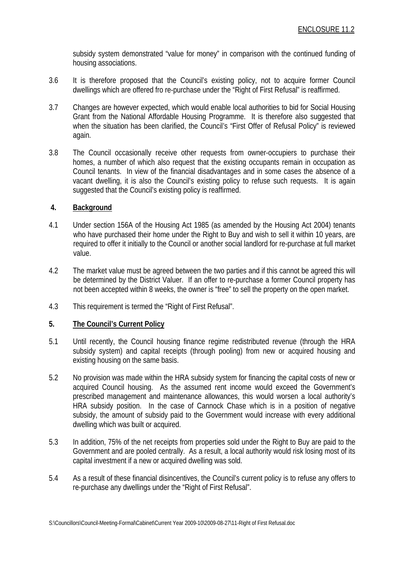subsidy system demonstrated "value for money" in comparison with the continued funding of housing associations.

- 3.6 It is therefore proposed that the Council's existing policy, not to acquire former Council dwellings which are offered fro re-purchase under the "Right of First Refusal" is reaffirmed.
- 3.7 Changes are however expected, which would enable local authorities to bid for Social Housing Grant from the National Affordable Housing Programme. It is therefore also suggested that when the situation has been clarified, the Council's "First Offer of Refusal Policy" is reviewed again.
- 3.8 The Council occasionally receive other requests from owner-occupiers to purchase their homes, a number of which also request that the existing occupants remain in occupation as Council tenants. In view of the financial disadvantages and in some cases the absence of a vacant dwelling, it is also the Council's existing policy to refuse such requests. It is again suggested that the Council's existing policy is reaffirmed.

### **4. Background**

- 4.1 Under section 156A of the Housing Act 1985 (as amended by the Housing Act 2004) tenants who have purchased their home under the Right to Buy and wish to sell it within 10 years, are required to offer it initially to the Council or another social landlord for re-purchase at full market value.
- 4.2 The market value must be agreed between the two parties and if this cannot be agreed this will be determined by the District Valuer. If an offer to re-purchase a former Council property has not been accepted within 8 weeks, the owner is "free" to sell the property on the open market.
- 4.3 This requirement is termed the "Right of First Refusal".

# **5. The Council's Current Policy**

- 5.1 Until recently, the Council housing finance regime redistributed revenue (through the HRA subsidy system) and capital receipts (through pooling) from new or acquired housing and existing housing on the same basis.
- 5.2 No provision was made within the HRA subsidy system for financing the capital costs of new or acquired Council housing. As the assumed rent income would exceed the Government's prescribed management and maintenance allowances, this would worsen a local authority's HRA subsidy position. In the case of Cannock Chase which is in a position of negative subsidy, the amount of subsidy paid to the Government would increase with every additional dwelling which was built or acquired.
- 5.3 In addition, 75% of the net receipts from properties sold under the Right to Buy are paid to the Government and are pooled centrally. As a result, a local authority would risk losing most of its capital investment if a new or acquired dwelling was sold.
- 5.4 As a result of these financial disincentives, the Council's current policy is to refuse any offers to re-purchase any dwellings under the "Right of First Refusal".

S:\Councillors\Council-Meeting-Formal\Cabinet\Current Year 2009-10\2009-08-27\11-Right of First Refusal.doc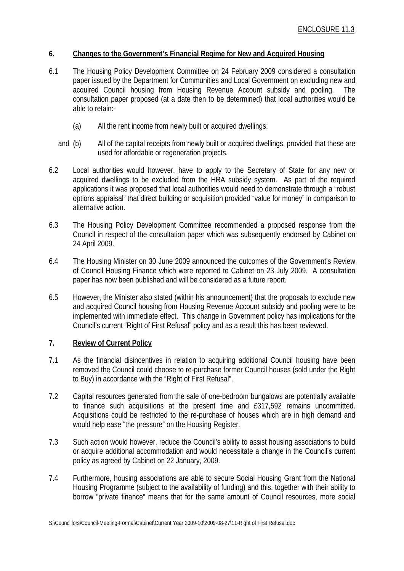### **6. Changes to the Government's Financial Regime for New and Acquired Housing**

- 6.1 The Housing Policy Development Committee on 24 February 2009 considered a consultation paper issued by the Department for Communities and Local Government on excluding new and acquired Council housing from Housing Revenue Account subsidy and pooling. The consultation paper proposed (at a date then to be determined) that local authorities would be able to retain:-
	- (a) All the rent income from newly built or acquired dwellings;
	- and (b) All of the capital receipts from newly built or acquired dwellings, provided that these are used for affordable or regeneration projects.
- 6.2 Local authorities would however, have to apply to the Secretary of State for any new or acquired dwellings to be excluded from the HRA subsidy system. As part of the required applications it was proposed that local authorities would need to demonstrate through a "robust options appraisal" that direct building or acquisition provided "value for money" in comparison to alternative action.
- 6.3 The Housing Policy Development Committee recommended a proposed response from the Council in respect of the consultation paper which was subsequently endorsed by Cabinet on 24 April 2009.
- 6.4 The Housing Minister on 30 June 2009 announced the outcomes of the Government's Review of Council Housing Finance which were reported to Cabinet on 23 July 2009. A consultation paper has now been published and will be considered as a future report.
- 6.5 However, the Minister also stated (within his announcement) that the proposals to exclude new and acquired Council housing from Housing Revenue Account subsidy and pooling were to be implemented with immediate effect. This change in Government policy has implications for the Council's current "Right of First Refusal" policy and as a result this has been reviewed.

## **7. Review of Current Policy**

- 7.1 As the financial disincentives in relation to acquiring additional Council housing have been removed the Council could choose to re-purchase former Council houses (sold under the Right to Buy) in accordance with the "Right of First Refusal".
- 7.2 Capital resources generated from the sale of one-bedroom bungalows are potentially available to finance such acquisitions at the present time and £317,592 remains uncommitted. Acquisitions could be restricted to the re-purchase of houses which are in high demand and would help ease "the pressure" on the Housing Register.
- 7.3 Such action would however, reduce the Council's ability to assist housing associations to build or acquire additional accommodation and would necessitate a change in the Council's current policy as agreed by Cabinet on 22 January, 2009.
- 7.4 Furthermore, housing associations are able to secure Social Housing Grant from the National Housing Programme (subject to the availability of funding) and this, together with their ability to borrow "private finance" means that for the same amount of Council resources, more social

S:\Councillors\Council-Meeting-Formal\Cabinet\Current Year 2009-10\2009-08-27\11-Right of First Refusal.doc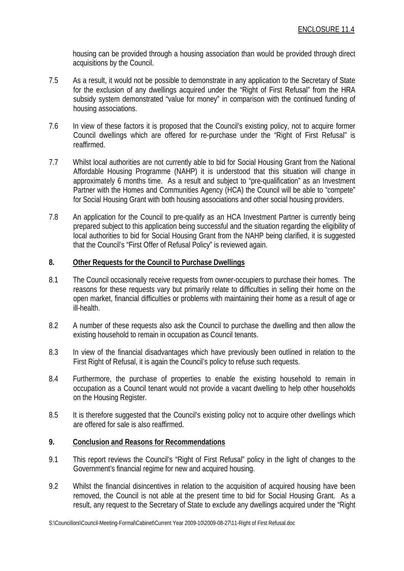housing can be provided through a housing association than would be provided through direct acquisitions by the Council.

- 7.5 As a result, it would not be possible to demonstrate in any application to the Secretary of State for the exclusion of any dwellings acquired under the "Right of First Refusal" from the HRA subsidy system demonstrated "value for money" in comparison with the continued funding of housing associations.
- 7.6 In view of these factors it is proposed that the Council's existing policy, not to acquire former Council dwellings which are offered for re-purchase under the "Right of First Refusal" is reaffirmed.
- 7.7 Whilst local authorities are not currently able to bid for Social Housing Grant from the National Affordable Housing Programme (NAHP) it is understood that this situation will change in approximately 6 months time. As a result and subject to "pre-qualification" as an Investment Partner with the Homes and Communities Agency (HCA) the Council will be able to "compete" for Social Housing Grant with both housing associations and other social housing providers.
- 7.8 An application for the Council to pre-qualify as an HCA Investment Partner is currently being prepared subject to this application being successful and the situation regarding the eligibility of local authorities to bid for Social Housing Grant from the NAHP being clarified, it is suggested that the Council's "First Offer of Refusal Policy" is reviewed again.

# **8. Other Requests for the Council to Purchase Dwellings**

- 8.1 The Council occasionally receive requests from owner-occupiers to purchase their homes. The reasons for these requests vary but primarily relate to difficulties in selling their home on the open market, financial difficulties or problems with maintaining their home as a result of age or ill-health.
- 8.2 A number of these requests also ask the Council to purchase the dwelling and then allow the existing household to remain in occupation as Council tenants.
- 8.3 In view of the financial disadvantages which have previously been outlined in relation to the First Right of Refusal, it is again the Council's policy to refuse such requests.
- 8.4 Furthermore, the purchase of properties to enable the existing household to remain in occupation as a Council tenant would not provide a vacant dwelling to help other households on the Housing Register.
- 8.5 It is therefore suggested that the Council's existing policy not to acquire other dwellings which are offered for sale is also reaffirmed.

# **9. Conclusion and Reasons for Recommendations**

- 9.1 This report reviews the Council's "Right of First Refusal" policy in the light of changes to the Government's financial regime for new and acquired housing.
- 9.2 Whilst the financial disincentives in relation to the acquisition of acquired housing have been removed, the Council is not able at the present time to bid for Social Housing Grant. As a result, any request to the Secretary of State to exclude any dwellings acquired under the "Right

S:\Councillors\Council-Meeting-Formal\Cabinet\Current Year 2009-10\2009-08-27\11-Right of First Refusal.doc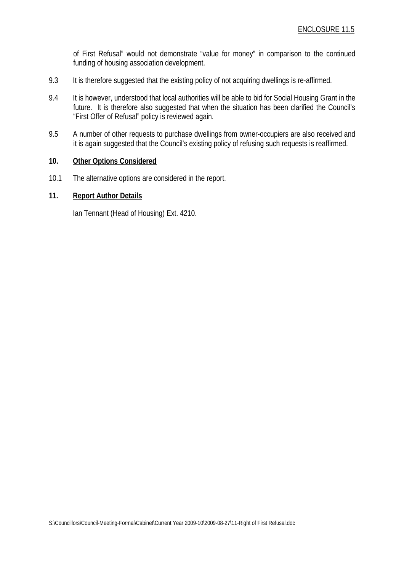of First Refusal" would not demonstrate "value for money" in comparison to the continued funding of housing association development.

- 9.3 It is therefore suggested that the existing policy of not acquiring dwellings is re-affirmed.
- 9.4 It is however, understood that local authorities will be able to bid for Social Housing Grant in the future. It is therefore also suggested that when the situation has been clarified the Council's "First Offer of Refusal" policy is reviewed again.
- 9.5 A number of other requests to purchase dwellings from owner-occupiers are also received and it is again suggested that the Council's existing policy of refusing such requests is reaffirmed.

### **10. Other Options Considered**

10.1 The alternative options are considered in the report.

### **11. Report Author Details**

Ian Tennant (Head of Housing) Ext. 4210.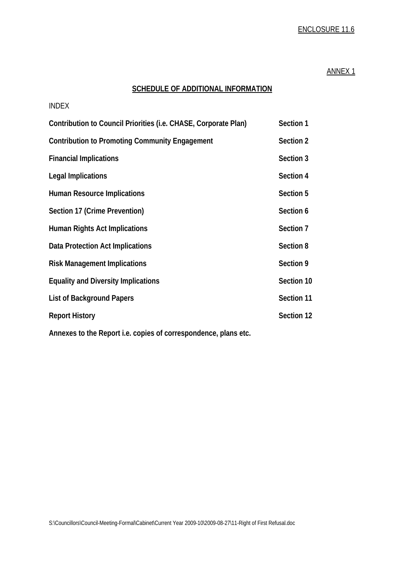# ENCLOSURE 11.6

#### ANNEX 1

# **SCHEDULE OF ADDITIONAL INFORMATION**

| <b>INDEX</b>                                                    |            |
|-----------------------------------------------------------------|------------|
| Contribution to Council Priorities (i.e. CHASE, Corporate Plan) | Section 1  |
| <b>Contribution to Promoting Community Engagement</b>           | Section 2  |
| <b>Financial Implications</b>                                   | Section 3  |
| <b>Legal Implications</b>                                       | Section 4  |
| <b>Human Resource Implications</b>                              | Section 5  |
| Section 17 (Crime Prevention)                                   | Section 6  |
| <b>Human Rights Act Implications</b>                            | Section 7  |
| Data Protection Act Implications                                | Section 8  |
| <b>Risk Management Implications</b>                             | Section 9  |
| <b>Equality and Diversity Implications</b>                      | Section 10 |
| <b>List of Background Papers</b>                                | Section 11 |
| <b>Report History</b>                                           | Section 12 |
| Annovos to the Depart i.e. conjes of correspondence, plans etc. |            |

**Annexes to the Report i.e. copies of correspondence, plans etc.**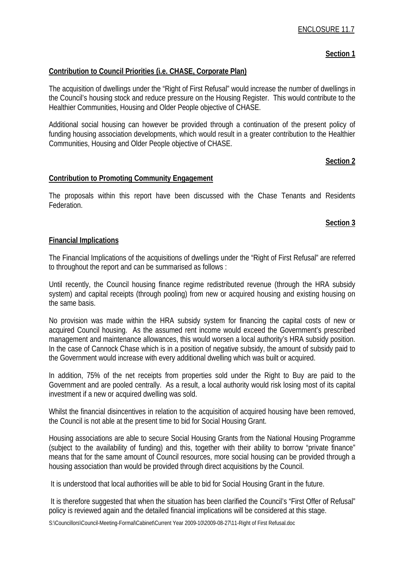## **Section 1**

### **Contribution to Council Priorities (i.e. CHASE, Corporate Plan)**

The acquisition of dwellings under the "Right of First Refusal" would increase the number of dwellings in the Council's housing stock and reduce pressure on the Housing Register. This would contribute to the Healthier Communities, Housing and Older People objective of CHASE.

Additional social housing can however be provided through a continuation of the present policy of funding housing association developments, which would result in a greater contribution to the Healthier Communities, Housing and Older People objective of CHASE.

### **Section 2**

#### **Contribution to Promoting Community Engagement**

The proposals within this report have been discussed with the Chase Tenants and Residents Federation.

### **Section 3**

#### **Financial Implications**

The Financial Implications of the acquisitions of dwellings under the "Right of First Refusal" are referred to throughout the report and can be summarised as follows :

Until recently, the Council housing finance regime redistributed revenue (through the HRA subsidy system) and capital receipts (through pooling) from new or acquired housing and existing housing on the same basis.

No provision was made within the HRA subsidy system for financing the capital costs of new or acquired Council housing. As the assumed rent income would exceed the Government's prescribed management and maintenance allowances, this would worsen a local authority's HRA subsidy position. In the case of Cannock Chase which is in a position of negative subsidy, the amount of subsidy paid to the Government would increase with every additional dwelling which was built or acquired.

In addition, 75% of the net receipts from properties sold under the Right to Buy are paid to the Government and are pooled centrally. As a result, a local authority would risk losing most of its capital investment if a new or acquired dwelling was sold.

Whilst the financial disincentives in relation to the acquisition of acquired housing have been removed, the Council is not able at the present time to bid for Social Housing Grant.

Housing associations are able to secure Social Housing Grants from the National Housing Programme (subject to the availability of funding) and this, together with their ability to borrow "private finance" means that for the same amount of Council resources, more social housing can be provided through a housing association than would be provided through direct acquisitions by the Council.

It is understood that local authorities will be able to bid for Social Housing Grant in the future.

 It is therefore suggested that when the situation has been clarified the Council's "First Offer of Refusal" policy is reviewed again and the detailed financial implications will be considered at this stage.

S:\Councillors\Council-Meeting-Formal\Cabinet\Current Year 2009-10\2009-08-27\11-Right of First Refusal.doc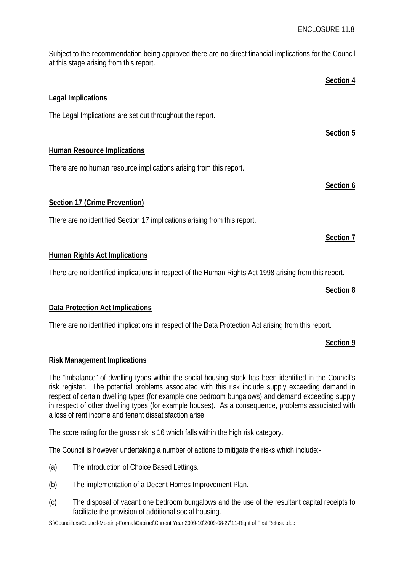Subject to the recommendation being approved there are no direct financial implications for the Council at this stage arising from this report.

|                                                                                                        | Section 4 |
|--------------------------------------------------------------------------------------------------------|-----------|
| <b>Legal Implications</b>                                                                              |           |
| The Legal Implications are set out throughout the report.                                              |           |
|                                                                                                        | Section 5 |
| <b>Human Resource Implications</b>                                                                     |           |
| There are no human resource implications arising from this report.                                     |           |
|                                                                                                        | Section 6 |
| <b>Section 17 (Crime Prevention)</b>                                                                   |           |
| There are no identified Section 17 implications arising from this report.                              |           |
|                                                                                                        | Section 7 |
| <b>Human Rights Act Implications</b>                                                                   |           |
| There are no identified implications in respect of the Human Rights Act 1998 arising from this report. |           |
|                                                                                                        | Section 8 |
| <b>Data Protection Act Implications</b>                                                                |           |

There are no identified implications in respect of the Data Protection Act arising from this report.

# **Section 9**

# **Risk Management Implications**

The "imbalance" of dwelling types within the social housing stock has been identified in the Council's risk register. The potential problems associated with this risk include supply exceeding demand in respect of certain dwelling types (for example one bedroom bungalows) and demand exceeding supply in respect of other dwelling types (for example houses). As a consequence, problems associated with a loss of rent income and tenant dissatisfaction arise.

The score rating for the gross risk is 16 which falls within the high risk category.

The Council is however undertaking a number of actions to mitigate the risks which include:-

- (a) The introduction of Choice Based Lettings.
- (b) The implementation of a Decent Homes Improvement Plan.
- (c) The disposal of vacant one bedroom bungalows and the use of the resultant capital receipts to facilitate the provision of additional social housing.

S:\Councillors\Council-Meeting-Formal\Cabinet\Current Year 2009-10\2009-08-27\11-Right of First Refusal.doc